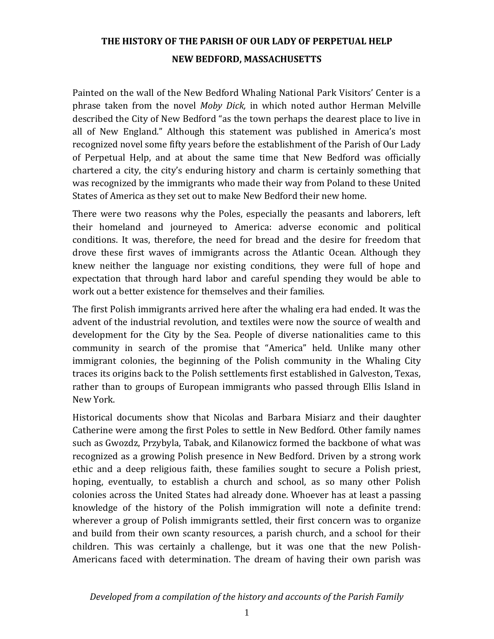Painted on the wall of the New Bedford Whaling National Park Visitors' Center is a phrase taken from the novel *Moby Dick,* in which noted author Herman Melville described the City of New Bedford "as the town perhaps the dearest place to live in all of New England." Although this statement was published in America's most recognized novel some fifty years before the establishment of the Parish of Our Lady of Perpetual Help, and at about the same time that New Bedford was officially chartered a city, the city's enduring history and charm is certainly something that was recognized by the immigrants who made their way from Poland to these United States of America as they set out to make New Bedford their new home.

There were two reasons why the Poles, especially the peasants and laborers, left their homeland and journeyed to America: adverse economic and political conditions. It was, therefore, the need for bread and the desire for freedom that drove these first waves of immigrants across the Atlantic Ocean. Although they knew neither the language nor existing conditions, they were full of hope and expectation that through hard labor and careful spending they would be able to work out a better existence for themselves and their families.

The first Polish immigrants arrived here after the whaling era had ended. It was the advent of the industrial revolution, and textiles were now the source of wealth and development for the City by the Sea. People of diverse nationalities came to this community in search of the promise that "America" held. Unlike many other immigrant colonies, the beginning of the Polish community in the Whaling City traces its origins back to the Polish settlements first established in Galveston, Texas, rather than to groups of European immigrants who passed through Ellis Island in New York.

Historical documents show that Nicolas and Barbara Misiarz and their daughter Catherine were among the first Poles to settle in New Bedford. Other family names such as Gwozdz, Przybyla, Tabak, and Kilanowicz formed the backbone of what was recognized as a growing Polish presence in New Bedford. Driven by a strong work ethic and a deep religious faith, these families sought to secure a Polish priest, hoping, eventually, to establish a church and school, as so many other Polish colonies across the United States had already done. Whoever has at least a passing knowledge of the history of the Polish immigration will note a definite trend: wherever a group of Polish immigrants settled, their first concern was to organize and build from their own scanty resources, a parish church, and a school for their children. This was certainly a challenge, but it was one that the new Polish-Americans faced with determination. The dream of having their own parish was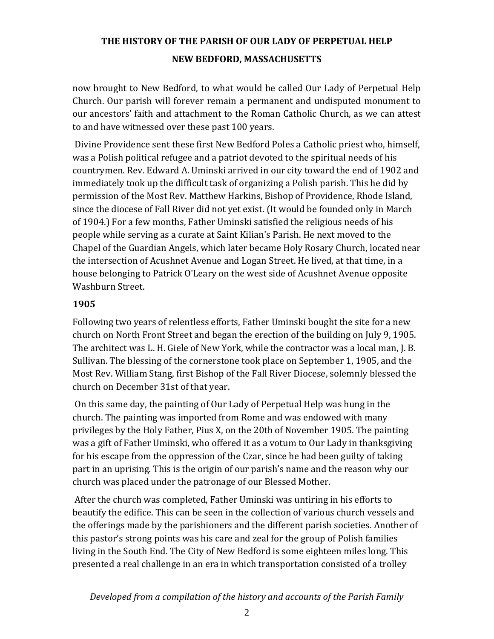now brought to New Bedford, to what would be called Our Lady of Perpetual Help Church. Our parish will forever remain a permanent and undisputed monument to our ancestors' faith and attachment to the Roman Catholic Church, as we can attest to and have witnessed over these past 100 years.

Divine Providence sent these first New Bedford Poles a Catholic priest who, himself, was a Polish political refugee and a patriot devoted to the spiritual needs of his countrymen. Rev. Edward A. Uminski arrived in our city toward the end of 1902 and immediately took up the difficult task of organizing a Polish parish. This he did by permission of the Most Rev. Matthew Harkins, Bishop of Providence, Rhode Island, since the diocese of Fall River did not yet exist. (It would be founded only in March of 1904.) For a few months, Father Uminski satisfied the religious needs of his people while serving as a curate at Saint Kilian's Parish. He next moved to the Chapel of the Guardian Angels, which later became Holy Rosary Church, located near the intersection of Acushnet Avenue and Logan Street. He lived, at that time, in a house belonging to Patrick O'Leary on the west side of Acushnet Avenue opposite Washburn Street.

#### **1905**

Following two years of relentless efforts, Father Uminski bought the site for a new church on North Front Street and began the erection of the building on July 9, 1905. The architect was L. H. Giele of New York, while the contractor was a local man, J. B. Sullivan. The blessing of the cornerstone took place on September 1, 1905, and the Most Rev. William Stang, first Bishop of the Fall River Diocese, solemnly blessed the church on December 31st of that year.

On this same day, the painting of Our Lady of Perpetual Help was hung in the church. The painting was imported from Rome and was endowed with many privileges by the Holy Father, Pius X, on the 20th of November 1905. The painting was a gift of Father Uminski, who offered it as a votum to Our Lady in thanksgiving for his escape from the oppression of the Czar, since he had been guilty of taking part in an uprising. This is the origin of our parish's name and the reason why our church was placed under the patronage of our Blessed Mother.

After the church was completed, Father Uminski was untiring in his efforts to beautify the edifice. This can be seen in the collection of various church vessels and the offerings made by the parishioners and the different parish societies. Another of this pastor's strong points was his care and zeal for the group of Polish families living in the South End. The City of New Bedford is some eighteen miles long. This presented a real challenge in an era in which transportation consisted of a trolley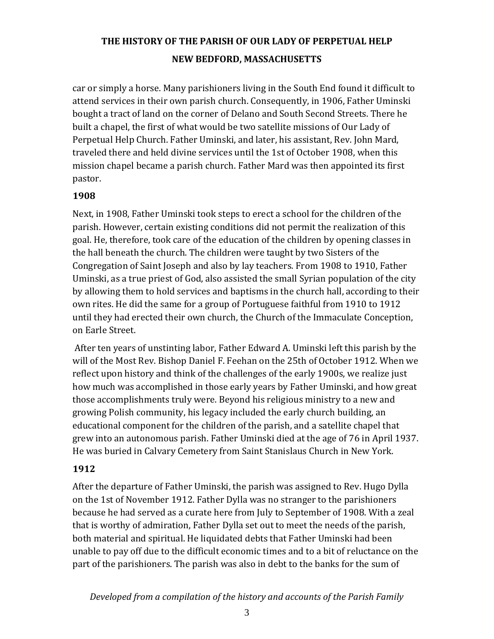car or simply a horse. Many parishioners living in the South End found it difficult to attend services in their own parish church. Consequently, in 1906, Father Uminski bought a tract of land on the corner of Delano and South Second Streets. There he built a chapel, the first of what would be two satellite missions of Our Lady of Perpetual Help Church. Father Uminski, and later, his assistant, Rev. John Mard, traveled there and held divine services until the 1st of October 1908, when this mission chapel became a parish church. Father Mard was then appointed its first pastor.

#### **1908**

Next, in 1908, Father Uminski took steps to erect a school for the children of the parish. However, certain existing conditions did not permit the realization of this goal. He, therefore, took care of the education of the children by opening classes in the hall beneath the church. The children were taught by two Sisters of the Congregation of Saint Joseph and also by lay teachers. From 1908 to 1910, Father Uminski, as a true priest of God, also assisted the small Syrian population of the city by allowing them to hold services and baptisms in the church hall, according to their own rites. He did the same for a group of Portuguese faithful from 1910 to 1912 until they had erected their own church, the Church of the Immaculate Conception, on Earle Street.

After ten years of unstinting labor, Father Edward A. Uminski left this parish by the will of the Most Rev. Bishop Daniel F. Feehan on the 25th of October 1912. When we reflect upon history and think of the challenges of the early 1900s, we realize just how much was accomplished in those early years by Father Uminski, and how great those accomplishments truly were. Beyond his religious ministry to a new and growing Polish community, his legacy included the early church building, an educational component for the children of the parish, and a satellite chapel that grew into an autonomous parish. Father Uminski died at the age of 76 in April 1937. He was buried in Calvary Cemetery from Saint Stanislaus Church in New York.

#### **1912**

After the departure of Father Uminski, the parish was assigned to Rev. Hugo Dylla on the 1st of November 1912. Father Dylla was no stranger to the parishioners because he had served as a curate here from July to September of 1908. With a zeal that is worthy of admiration, Father Dylla set out to meet the needs of the parish, both material and spiritual. He liquidated debts that Father Uminski had been unable to pay off due to the difficult economic times and to a bit of reluctance on the part of the parishioners. The parish was also in debt to the banks for the sum of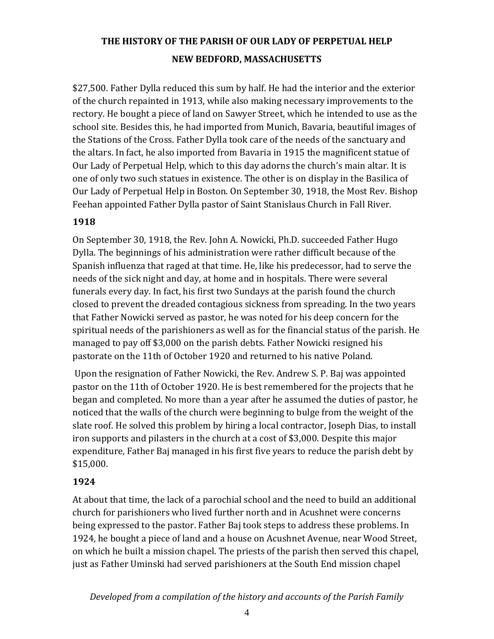\$27,500. Father Dylla reduced this sum by half. He had the interior and the exterior of the church repainted in 1913, while also making necessary improvements to the rectory. He bought a piece of land on Sawyer Street, which he intended to use as the school site. Besides this, he had imported from Munich, Bavaria, beautiful images of the Stations of the Cross. Father Dylla took care of the needs of the sanctuary and the altars. In fact, he also imported from Bavaria in 1915 the magnificent statue of Our Lady of Perpetual Help, which to this day adorns the church's main altar. It is one of only two such statues in existence. The other is on display in the Basilica of Our Lady of Perpetual Help in Boston. On September 30, 1918, the Most Rev. Bishop Feehan appointed Father Dylla pastor of Saint Stanislaus Church in Fall River.

### **1918**

On September 30, 1918, the Rev. John A. Nowicki, Ph.D. succeeded Father Hugo Dylla. The beginnings of his administration were rather difficult because of the Spanish influenza that raged at that time. He, like his predecessor, had to serve the needs of the sick night and day, at home and in hospitals. There were several funerals every day. In fact, his first two Sundays at the parish found the church closed to prevent the dreaded contagious sickness from spreading. In the two years that Father Nowicki served as pastor, he was noted for his deep concern for the spiritual needs of the parishioners as well as for the financial status of the parish. He managed to pay off \$3,000 on the parish debts. Father Nowicki resigned his pastorate on the 11th of October 1920 and returned to his native Poland.

Upon the resignation of Father Nowicki, the Rev. Andrew S. P. Baj was appointed pastor on the 11th of October 1920. He is best remembered for the projects that he began and completed. No more than a year after he assumed the duties of pastor, he noticed that the walls of the church were beginning to bulge from the weight of the slate roof. He solved this problem by hiring a local contractor, Joseph Dias, to install iron supports and pilasters in the church at a cost of \$3,000. Despite this major expenditure, Father Baj managed in his first five years to reduce the parish debt by \$15,000.

#### **1924**

At about that time, the lack of a parochial school and the need to build an additional church for parishioners who lived further north and in Acushnet were concerns being expressed to the pastor. Father Baj took steps to address these problems. In 1924, he bought a piece of land and a house on Acushnet Avenue, near Wood Street, on which he built a mission chapel. The priests of the parish then served this chapel, just as Father Uminski had served parishioners at the South End mission chapel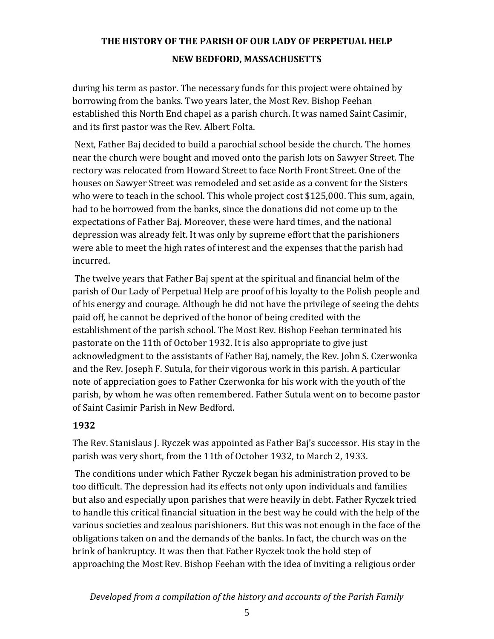during his term as pastor. The necessary funds for this project were obtained by borrowing from the banks. Two years later, the Most Rev. Bishop Feehan established this North End chapel as a parish church. It was named Saint Casimir, and its first pastor was the Rev. Albert Folta.

Next, Father Baj decided to build a parochial school beside the church. The homes near the church were bought and moved onto the parish lots on Sawyer Street. The rectory was relocated from Howard Street to face North Front Street. One of the houses on Sawyer Street was remodeled and set aside as a convent for the Sisters who were to teach in the school. This whole project cost \$125,000. This sum, again, had to be borrowed from the banks, since the donations did not come up to the expectations of Father Baj. Moreover, these were hard times, and the national depression was already felt. It was only by supreme effort that the parishioners were able to meet the high rates of interest and the expenses that the parish had incurred.

The twelve years that Father Baj spent at the spiritual and financial helm of the parish of Our Lady of Perpetual Help are proof of his loyalty to the Polish people and of his energy and courage. Although he did not have the privilege of seeing the debts paid off, he cannot be deprived of the honor of being credited with the establishment of the parish school. The Most Rev. Bishop Feehan terminated his pastorate on the 11th of October 1932. It is also appropriate to give just acknowledgment to the assistants of Father Baj, namely, the Rev. John S. Czerwonka and the Rev. Joseph F. Sutula, for their vigorous work in this parish. A particular note of appreciation goes to Father Czerwonka for his work with the youth of the parish, by whom he was often remembered. Father Sutula went on to become pastor of Saint Casimir Parish in New Bedford.

#### **1932**

The Rev. Stanislaus J. Ryczek was appointed as Father Baj's successor. His stay in the parish was very short, from the 11th of October 1932, to March 2, 1933.

The conditions under which Father Ryczek began his administration proved to be too difficult. The depression had its effects not only upon individuals and families but also and especially upon parishes that were heavily in debt. Father Ryczek tried to handle this critical financial situation in the best way he could with the help of the various societies and zealous parishioners. But this was not enough in the face of the obligations taken on and the demands of the banks. In fact, the church was on the brink of bankruptcy. It was then that Father Ryczek took the bold step of approaching the Most Rev. Bishop Feehan with the idea of inviting a religious order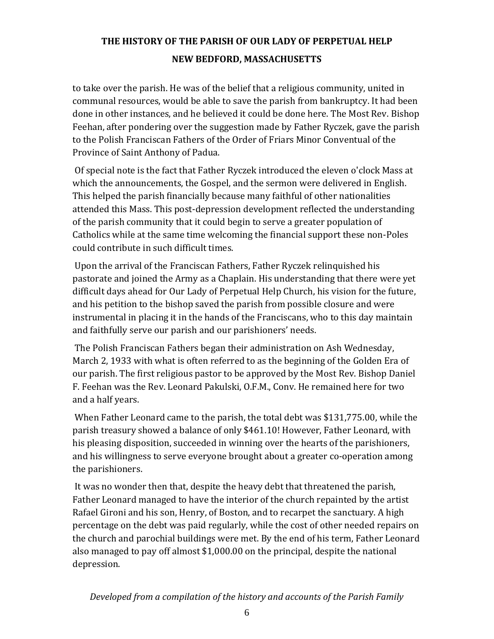to take over the parish. He was of the belief that a religious community, united in communal resources, would be able to save the parish from bankruptcy. It had been done in other instances, and he believed it could be done here. The Most Rev. Bishop Feehan, after pondering over the suggestion made by Father Ryczek, gave the parish to the Polish Franciscan Fathers of the Order of Friars Minor Conventual of the Province of Saint Anthony of Padua.

Of special note is the fact that Father Ryczek introduced the eleven o'clock Mass at which the announcements, the Gospel, and the sermon were delivered in English. This helped the parish financially because many faithful of other nationalities attended this Mass. This post-depression development reflected the understanding of the parish community that it could begin to serve a greater population of Catholics while at the same time welcoming the financial support these non-Poles could contribute in such difficult times.

Upon the arrival of the Franciscan Fathers, Father Ryczek relinquished his pastorate and joined the Army as a Chaplain. His understanding that there were yet difficult days ahead for Our Lady of Perpetual Help Church, his vision for the future, and his petition to the bishop saved the parish from possible closure and were instrumental in placing it in the hands of the Franciscans, who to this day maintain and faithfully serve our parish and our parishioners' needs.

The Polish Franciscan Fathers began their administration on Ash Wednesday, March 2, 1933 with what is often referred to as the beginning of the Golden Era of our parish. The first religious pastor to be approved by the Most Rev. Bishop Daniel F. Feehan was the Rev. Leonard Pakulski, O.F.M., Conv. He remained here for two and a half years.

When Father Leonard came to the parish, the total debt was \$131,775.00, while the parish treasury showed a balance of only \$461.10! However, Father Leonard, with his pleasing disposition, succeeded in winning over the hearts of the parishioners, and his willingness to serve everyone brought about a greater co-operation among the parishioners.

It was no wonder then that, despite the heavy debt that threatened the parish, Father Leonard managed to have the interior of the church repainted by the artist Rafael Gironi and his son, Henry, of Boston, and to recarpet the sanctuary. A high percentage on the debt was paid regularly, while the cost of other needed repairs on the church and parochial buildings were met. By the end of his term, Father Leonard also managed to pay off almost \$1,000.00 on the principal, despite the national depression.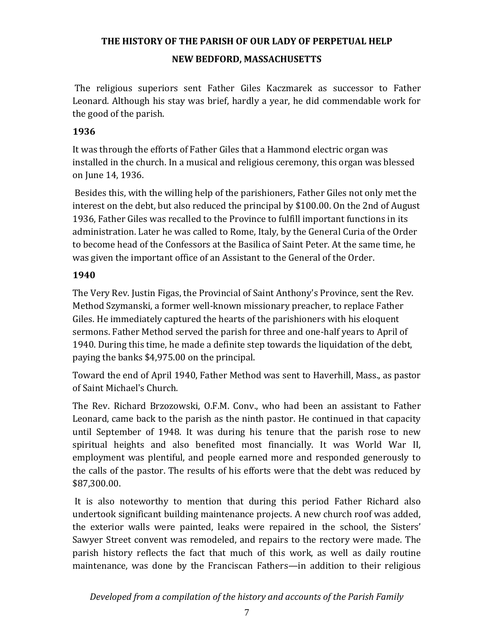The religious superiors sent Father Giles Kaczmarek as successor to Father Leonard. Although his stay was brief, hardly a year, he did commendable work for the good of the parish.

#### **1936**

It was through the efforts of Father Giles that a Hammond electric organ was installed in the church. In a musical and religious ceremony, this organ was blessed on June 14, 1936.

Besides this, with the willing help of the parishioners, Father Giles not only met the interest on the debt, but also reduced the principal by \$100.00. On the 2nd of August 1936, Father Giles was recalled to the Province to fulfill important functions in its administration. Later he was called to Rome, Italy, by the General Curia of the Order to become head of the Confessors at the Basilica of Saint Peter. At the same time, he was given the important office of an Assistant to the General of the Order.

### **1940**

The Very Rev. Justin Figas, the Provincial of Saint Anthony's Province, sent the Rev. Method Szymanski, a former well-known missionary preacher, to replace Father Giles. He immediately captured the hearts of the parishioners with his eloquent sermons. Father Method served the parish for three and one-half years to April of 1940. During this time, he made a definite step towards the liquidation of the debt, paying the banks \$4,975.00 on the principal.

Toward the end of April 1940, Father Method was sent to Haverhill, Mass., as pastor of Saint Michael's Church.

The Rev. Richard Brzozowski, O.F.M. Conv., who had been an assistant to Father Leonard, came back to the parish as the ninth pastor. He continued in that capacity until September of 1948. It was during his tenure that the parish rose to new spiritual heights and also benefited most financially. It was World War II, employment was plentiful, and people earned more and responded generously to the calls of the pastor. The results of his efforts were that the debt was reduced by \$87,300.00.

It is also noteworthy to mention that during this period Father Richard also undertook significant building maintenance projects. A new church roof was added, the exterior walls were painted, leaks were repaired in the school, the Sisters' Sawyer Street convent was remodeled, and repairs to the rectory were made. The parish history reflects the fact that much of this work, as well as daily routine maintenance, was done by the Franciscan Fathers—in addition to their religious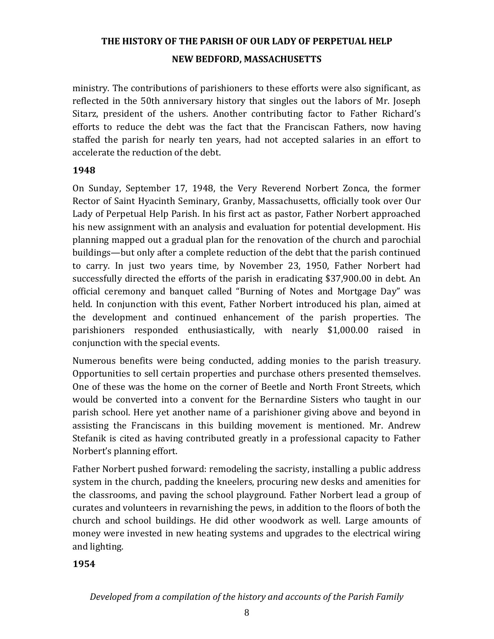ministry. The contributions of parishioners to these efforts were also significant, as reflected in the 50th anniversary history that singles out the labors of Mr. Joseph Sitarz, president of the ushers. Another contributing factor to Father Richard's efforts to reduce the debt was the fact that the Franciscan Fathers, now having staffed the parish for nearly ten years, had not accepted salaries in an effort to accelerate the reduction of the debt.

#### **1948**

On Sunday, September 17, 1948, the Very Reverend Norbert Zonca, the former Rector of Saint Hyacinth Seminary, Granby, Massachusetts, officially took over Our Lady of Perpetual Help Parish. In his first act as pastor, Father Norbert approached his new assignment with an analysis and evaluation for potential development. His planning mapped out a gradual plan for the renovation of the church and parochial buildings—but only after a complete reduction of the debt that the parish continued to carry. In just two years time, by November 23, 1950, Father Norbert had successfully directed the efforts of the parish in eradicating \$37,900.00 in debt. An official ceremony and banquet called "Burning of Notes and Mortgage Day" was held. In conjunction with this event, Father Norbert introduced his plan, aimed at the development and continued enhancement of the parish properties. The parishioners responded enthusiastically, with nearly \$1,000.00 raised in conjunction with the special events.

Numerous benefits were being conducted, adding monies to the parish treasury. Opportunities to sell certain properties and purchase others presented themselves. One of these was the home on the corner of Beetle and North Front Streets, which would be converted into a convent for the Bernardine Sisters who taught in our parish school. Here yet another name of a parishioner giving above and beyond in assisting the Franciscans in this building movement is mentioned. Mr. Andrew Stefanik is cited as having contributed greatly in a professional capacity to Father Norbert's planning effort.

Father Norbert pushed forward: remodeling the sacristy, installing a public address system in the church, padding the kneelers, procuring new desks and amenities for the classrooms, and paving the school playground. Father Norbert lead a group of curates and volunteers in revarnishing the pews, in addition to the floors of both the church and school buildings. He did other woodwork as well. Large amounts of money were invested in new heating systems and upgrades to the electrical wiring and lighting.

**1954**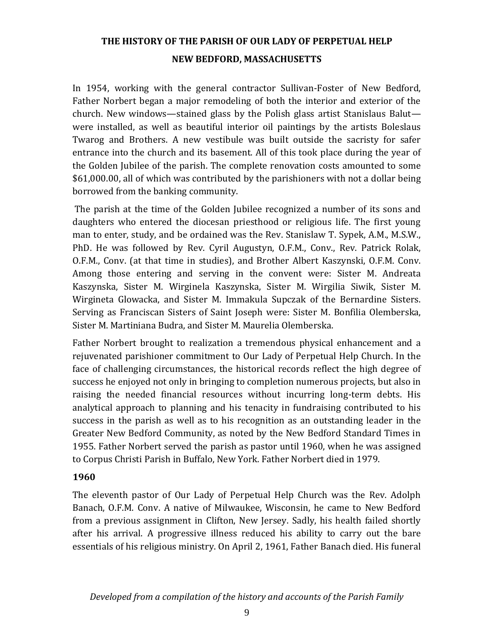In 1954, working with the general contractor Sullivan-Foster of New Bedford, Father Norbert began a major remodeling of both the interior and exterior of the church. New windows—stained glass by the Polish glass artist Stanislaus Balut were installed, as well as beautiful interior oil paintings by the artists Boleslaus Twarog and Brothers. A new vestibule was built outside the sacristy for safer entrance into the church and its basement. All of this took place during the year of the Golden Jubilee of the parish. The complete renovation costs amounted to some \$61,000.00, all of which was contributed by the parishioners with not a dollar being borrowed from the banking community.

The parish at the time of the Golden Jubilee recognized a number of its sons and daughters who entered the diocesan priesthood or religious life. The first young man to enter, study, and be ordained was the Rev. Stanislaw T. Sypek, A.M., M.S.W., PhD. He was followed by Rev. Cyril Augustyn, O.F.M., Conv., Rev. Patrick Rolak, O.F.M., Conv. (at that time in studies), and Brother Albert Kaszynski, O.F.M. Conv. Among those entering and serving in the convent were: Sister M. Andreata Kaszynska, Sister M. Wirginela Kaszynska, Sister M. Wirgilia Siwik, Sister M. Wirgineta Glowacka, and Sister M. Immakula Supczak of the Bernardine Sisters. Serving as Franciscan Sisters of Saint Joseph were: Sister M. Bonfilia Olemberska, Sister M. Martiniana Budra, and Sister M. Maurelia Olemberska.

Father Norbert brought to realization a tremendous physical enhancement and a rejuvenated parishioner commitment to Our Lady of Perpetual Help Church. In the face of challenging circumstances, the historical records reflect the high degree of success he enjoyed not only in bringing to completion numerous projects, but also in raising the needed financial resources without incurring long-term debts. His analytical approach to planning and his tenacity in fundraising contributed to his success in the parish as well as to his recognition as an outstanding leader in the Greater New Bedford Community, as noted by the New Bedford Standard Times in 1955. Father Norbert served the parish as pastor until 1960, when he was assigned to Corpus Christi Parish in Buffalo, New York. Father Norbert died in 1979.

#### **1960**

The eleventh pastor of Our Lady of Perpetual Help Church was the Rev. Adolph Banach, O.F.M. Conv. A native of Milwaukee, Wisconsin, he came to New Bedford from a previous assignment in Clifton, New Jersey. Sadly, his health failed shortly after his arrival. A progressive illness reduced his ability to carry out the bare essentials of his religious ministry. On April 2, 1961, Father Banach died. His funeral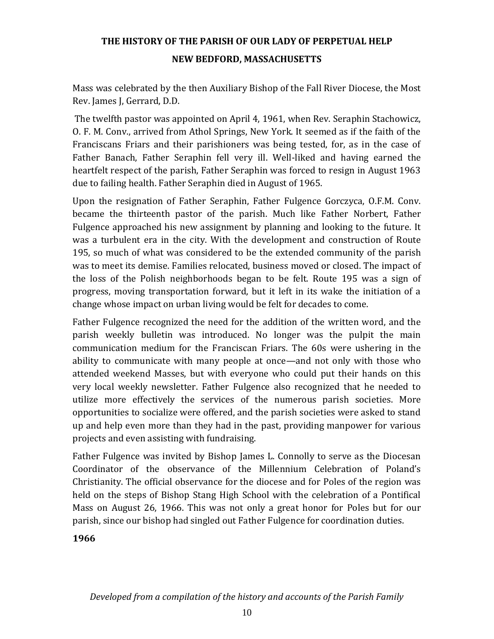Mass was celebrated by the then Auxiliary Bishop of the Fall River Diocese, the Most Rev. James J, Gerrard, D.D.

The twelfth pastor was appointed on April 4, 1961, when Rev. Seraphin Stachowicz, O. F. M. Conv., arrived from Athol Springs, New York. It seemed as if the faith of the Franciscans Friars and their parishioners was being tested, for, as in the case of Father Banach, Father Seraphin fell very ill. Well-liked and having earned the heartfelt respect of the parish, Father Seraphin was forced to resign in August 1963 due to failing health. Father Seraphin died in August of 1965.

Upon the resignation of Father Seraphin, Father Fulgence Gorczyca, O.F.M. Conv. became the thirteenth pastor of the parish. Much like Father Norbert, Father Fulgence approached his new assignment by planning and looking to the future. It was a turbulent era in the city. With the development and construction of Route 195, so much of what was considered to be the extended community of the parish was to meet its demise. Families relocated, business moved or closed. The impact of the loss of the Polish neighborhoods began to be felt. Route 195 was a sign of progress, moving transportation forward, but it left in its wake the initiation of a change whose impact on urban living would be felt for decades to come.

Father Fulgence recognized the need for the addition of the written word, and the parish weekly bulletin was introduced. No longer was the pulpit the main communication medium for the Franciscan Friars. The 60s were ushering in the ability to communicate with many people at once—and not only with those who attended weekend Masses, but with everyone who could put their hands on this very local weekly newsletter. Father Fulgence also recognized that he needed to utilize more effectively the services of the numerous parish societies. More opportunities to socialize were offered, and the parish societies were asked to stand up and help even more than they had in the past, providing manpower for various projects and even assisting with fundraising.

Father Fulgence was invited by Bishop James L. Connolly to serve as the Diocesan Coordinator of the observance of the Millennium Celebration of Poland's Christianity. The official observance for the diocese and for Poles of the region was held on the steps of Bishop Stang High School with the celebration of a Pontifical Mass on August 26, 1966. This was not only a great honor for Poles but for our parish, since our bishop had singled out Father Fulgence for coordination duties.

**1966**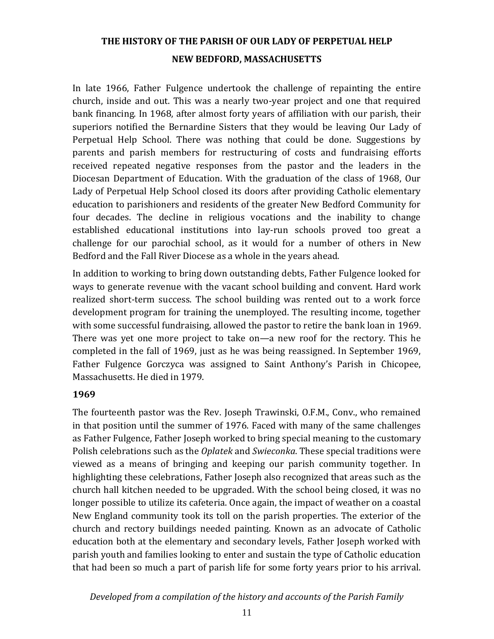In late 1966, Father Fulgence undertook the challenge of repainting the entire church, inside and out. This was a nearly two-year project and one that required bank financing. In 1968, after almost forty years of affiliation with our parish, their superiors notified the Bernardine Sisters that they would be leaving Our Lady of Perpetual Help School. There was nothing that could be done. Suggestions by parents and parish members for restructuring of costs and fundraising efforts received repeated negative responses from the pastor and the leaders in the Diocesan Department of Education. With the graduation of the class of 1968, Our Lady of Perpetual Help School closed its doors after providing Catholic elementary education to parishioners and residents of the greater New Bedford Community for four decades. The decline in religious vocations and the inability to change established educational institutions into lay-run schools proved too great a challenge for our parochial school, as it would for a number of others in New Bedford and the Fall River Diocese as a whole in the years ahead.

In addition to working to bring down outstanding debts, Father Fulgence looked for ways to generate revenue with the vacant school building and convent. Hard work realized short-term success. The school building was rented out to a work force development program for training the unemployed. The resulting income, together with some successful fundraising, allowed the pastor to retire the bank loan in 1969. There was yet one more project to take on—a new roof for the rectory. This he completed in the fall of 1969, just as he was being reassigned. In September 1969, Father Fulgence Gorczyca was assigned to Saint Anthony's Parish in Chicopee, Massachusetts. He died in 1979.

#### **1969**

The fourteenth pastor was the Rev. Joseph Trawinski, O.F.M., Conv., who remained in that position until the summer of 1976. Faced with many of the same challenges as Father Fulgence, Father Joseph worked to bring special meaning to the customary Polish celebrations such as the *Oplatek* and *Swieconka*. These special traditions were viewed as a means of bringing and keeping our parish community together. In highlighting these celebrations, Father Joseph also recognized that areas such as the church hall kitchen needed to be upgraded. With the school being closed, it was no longer possible to utilize its cafeteria. Once again, the impact of weather on a coastal New England community took its toll on the parish properties. The exterior of the church and rectory buildings needed painting. Known as an advocate of Catholic education both at the elementary and secondary levels, Father Joseph worked with parish youth and families looking to enter and sustain the type of Catholic education that had been so much a part of parish life for some forty years prior to his arrival.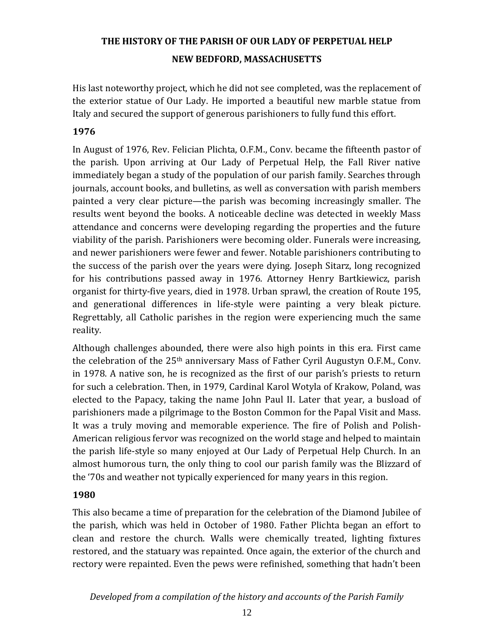His last noteworthy project, which he did not see completed, was the replacement of the exterior statue of Our Lady. He imported a beautiful new marble statue from Italy and secured the support of generous parishioners to fully fund this effort.

### **1976**

In August of 1976, Rev. Felician Plichta, O.F.M., Conv. became the fifteenth pastor of the parish. Upon arriving at Our Lady of Perpetual Help, the Fall River native immediately began a study of the population of our parish family. Searches through journals, account books, and bulletins, as well as conversation with parish members painted a very clear picture—the parish was becoming increasingly smaller. The results went beyond the books. A noticeable decline was detected in weekly Mass attendance and concerns were developing regarding the properties and the future viability of the parish. Parishioners were becoming older. Funerals were increasing, and newer parishioners were fewer and fewer. Notable parishioners contributing to the success of the parish over the years were dying. Joseph Sitarz, long recognized for his contributions passed away in 1976. Attorney Henry Bartkiewicz, parish organist for thirty-five years, died in 1978. Urban sprawl, the creation of Route 195, and generational differences in life-style were painting a very bleak picture. Regrettably, all Catholic parishes in the region were experiencing much the same reality.

Although challenges abounded, there were also high points in this era. First came the celebration of the 25th anniversary Mass of Father Cyril Augustyn O.F.M., Conv. in 1978. A native son, he is recognized as the first of our parish's priests to return for such a celebration. Then, in 1979, Cardinal Karol Wotyla of Krakow, Poland, was elected to the Papacy, taking the name John Paul II. Later that year, a busload of parishioners made a pilgrimage to the Boston Common for the Papal Visit and Mass. It was a truly moving and memorable experience. The fire of Polish and Polish-American religious fervor was recognized on the world stage and helped to maintain the parish life-style so many enjoyed at Our Lady of Perpetual Help Church. In an almost humorous turn, the only thing to cool our parish family was the Blizzard of the '70s and weather not typically experienced for many years in this region.

#### **1980**

This also became a time of preparation for the celebration of the Diamond Jubilee of the parish, which was held in October of 1980. Father Plichta began an effort to clean and restore the church. Walls were chemically treated, lighting fixtures restored, and the statuary was repainted. Once again, the exterior of the church and rectory were repainted. Even the pews were refinished, something that hadn't been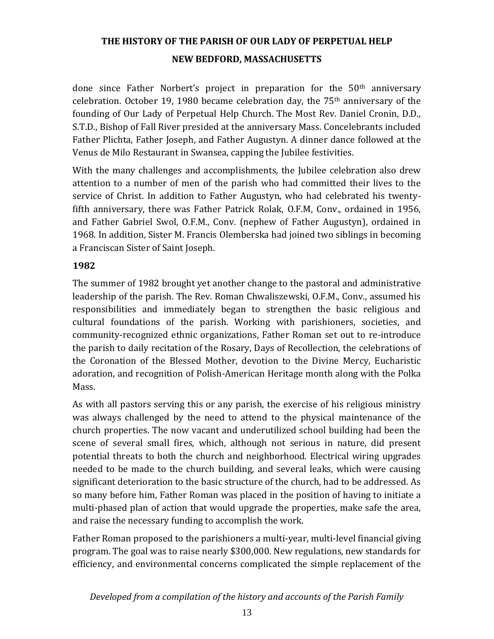done since Father Norbert's project in preparation for the  $50<sup>th</sup>$  anniversary celebration. October 19, 1980 became celebration day, the 75th anniversary of the founding of Our Lady of Perpetual Help Church. The Most Rev. Daniel Cronin, D.D., S.T.D., Bishop of Fall River presided at the anniversary Mass. Concelebrants included Father Plichta, Father Joseph, and Father Augustyn. A dinner dance followed at the Venus de Milo Restaurant in Swansea, capping the Jubilee festivities.

With the many challenges and accomplishments, the Jubilee celebration also drew attention to a number of men of the parish who had committed their lives to the service of Christ. In addition to Father Augustyn, who had celebrated his twentyfifth anniversary, there was Father Patrick Rolak, O.F.M, Conv., ordained in 1956, and Father Gabriel Swol, O.F.M., Conv. (nephew of Father Augustyn), ordained in 1968. In addition, Sister M. Francis Olemberska had joined two siblings in becoming a Franciscan Sister of Saint Joseph.

### **1982**

The summer of 1982 brought yet another change to the pastoral and administrative leadership of the parish. The Rev. Roman Chwaliszewski, O.F.M., Conv., assumed his responsibilities and immediately began to strengthen the basic religious and cultural foundations of the parish. Working with parishioners, societies, and community-recognized ethnic organizations, Father Roman set out to re-introduce the parish to daily recitation of the Rosary, Days of Recollection, the celebrations of the Coronation of the Blessed Mother, devotion to the Divine Mercy, Eucharistic adoration, and recognition of Polish-American Heritage month along with the Polka Mass.

As with all pastors serving this or any parish, the exercise of his religious ministry was always challenged by the need to attend to the physical maintenance of the church properties. The now vacant and underutilized school building had been the scene of several small fires, which, although not serious in nature, did present potential threats to both the church and neighborhood. Electrical wiring upgrades needed to be made to the church building, and several leaks, which were causing significant deterioration to the basic structure of the church, had to be addressed. As so many before him, Father Roman was placed in the position of having to initiate a multi-phased plan of action that would upgrade the properties, make safe the area, and raise the necessary funding to accomplish the work.

Father Roman proposed to the parishioners a multi-year, multi-level financial giving program. The goal was to raise nearly \$300,000. New regulations, new standards for efficiency, and environmental concerns complicated the simple replacement of the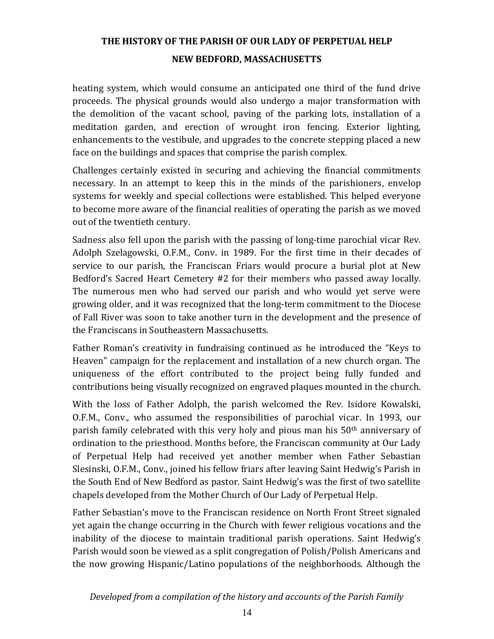heating system, which would consume an anticipated one third of the fund drive proceeds. The physical grounds would also undergo a major transformation with the demolition of the vacant school, paving of the parking lots, installation of a meditation garden, and erection of wrought iron fencing. Exterior lighting, enhancements to the vestibule, and upgrades to the concrete stepping placed a new face on the buildings and spaces that comprise the parish complex.

Challenges certainly existed in securing and achieving the financial commitments necessary. In an attempt to keep this in the minds of the parishioners, envelop systems for weekly and special collections were established. This helped everyone to become more aware of the financial realities of operating the parish as we moved out of the twentieth century.

Sadness also fell upon the parish with the passing of long-time parochial vicar Rev. Adolph Szelagowski, O.F.M., Conv. in 1989. For the first time in their decades of service to our parish, the Franciscan Friars would procure a burial plot at New Bedford's Sacred Heart Cemetery #2 for their members who passed away locally. The numerous men who had served our parish and who would yet serve were growing older, and it was recognized that the long-term commitment to the Diocese of Fall River was soon to take another turn in the development and the presence of the Franciscans in Southeastern Massachusetts.

Father Roman's creativity in fundraising continued as he introduced the "Keys to Heaven" campaign for the replacement and installation of a new church organ. The uniqueness of the effort contributed to the project being fully funded and contributions being visually recognized on engraved plaques mounted in the church.

With the loss of Father Adolph, the parish welcomed the Rev. Isidore Kowalski, O.F.M., Conv., who assumed the responsibilities of parochial vicar. In 1993, our parish family celebrated with this very holy and pious man his 50th anniversary of ordination to the priesthood. Months before, the Franciscan community at Our Lady of Perpetual Help had received yet another member when Father Sebastian Slesinski, O.F.M., Conv., joined his fellow friars after leaving Saint Hedwig's Parish in the South End of New Bedford as pastor. Saint Hedwig's was the first of two satellite chapels developed from the Mother Church of Our Lady of Perpetual Help.

Father Sebastian's move to the Franciscan residence on North Front Street signaled yet again the change occurring in the Church with fewer religious vocations and the inability of the diocese to maintain traditional parish operations. Saint Hedwig's Parish would soon be viewed as a split congregation of Polish/Polish Americans and the now growing Hispanic/Latino populations of the neighborhoods. Although the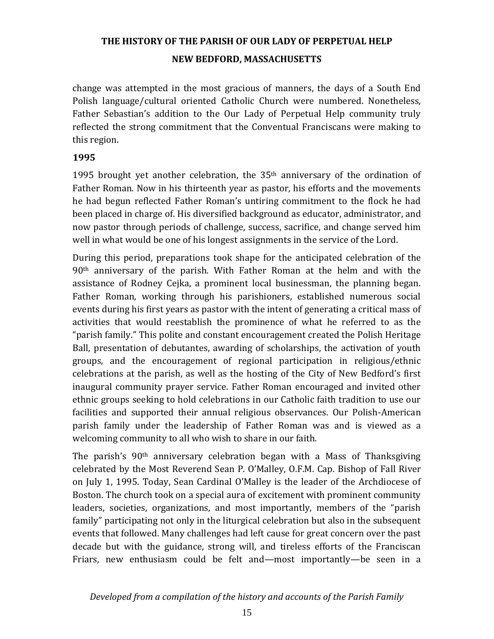change was attempted in the most gracious of manners, the days of a South End Polish language/cultural oriented Catholic Church were numbered. Nonetheless, Father Sebastian's addition to the Our Lady of Perpetual Help community truly reflected the strong commitment that the Conventual Franciscans were making to this region.

#### **1995**

1995 brought yet another celebration, the 35th anniversary of the ordination of Father Roman. Now in his thirteenth year as pastor, his efforts and the movements he had begun reflected Father Roman's untiring commitment to the flock he had been placed in charge of. His diversified background as educator, administrator, and now pastor through periods of challenge, success, sacrifice, and change served him well in what would be one of his longest assignments in the service of the Lord.

During this period, preparations took shape for the anticipated celebration of the  $90<sup>th</sup>$  anniversary of the parish. With Father Roman at the helm and with the assistance of Rodney Cejka, a prominent local businessman, the planning began. Father Roman, working through his parishioners, established numerous social events during his first years as pastor with the intent of generating a critical mass of activities that would reestablish the prominence of what he referred to as the "parish family." This polite and constant encouragement created the Polish Heritage Ball, presentation of debutantes, awarding of scholarships, the activation of youth groups, and the encouragement of regional participation in religious/ethnic celebrations at the parish, as well as the hosting of the City of New Bedford's first inaugural community prayer service. Father Roman encouraged and invited other ethnic groups seeking to hold celebrations in our Catholic faith tradition to use our facilities and supported their annual religious observances. Our Polish-American parish family under the leadership of Father Roman was and is viewed as a welcoming community to all who wish to share in our faith.

The parish's 90th anniversary celebration began with a Mass of Thanksgiving celebrated by the Most Reverend Sean P. O'Malley, O.F.M. Cap. Bishop of Fall River on July 1, 1995. Today, Sean Cardinal O'Malley is the leader of the Archdiocese of Boston. The church took on a special aura of excitement with prominent community leaders, societies, organizations, and most importantly, members of the "parish family" participating not only in the liturgical celebration but also in the subsequent events that followed. Many challenges had left cause for great concern over the past decade but with the guidance, strong will, and tireless efforts of the Franciscan Friars, new enthusiasm could be felt and—most importantly—be seen in a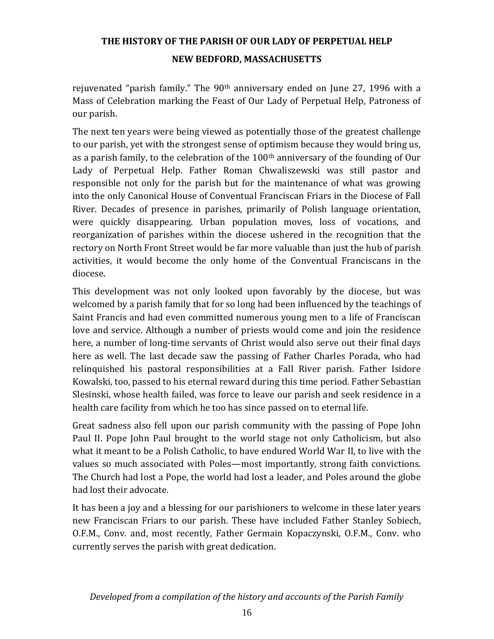rejuvenated "parish family." The  $90<sup>th</sup>$  anniversary ended on June 27, 1996 with a Mass of Celebration marking the Feast of Our Lady of Perpetual Help, Patroness of our parish.

The next ten years were being viewed as potentially those of the greatest challenge to our parish, yet with the strongest sense of optimism because they would bring us, as a parish family, to the celebration of the 100th anniversary of the founding of Our Lady of Perpetual Help. Father Roman Chwaliszewski was still pastor and responsible not only for the parish but for the maintenance of what was growing into the only Canonical House of Conventual Franciscan Friars in the Diocese of Fall River. Decades of presence in parishes, primarily of Polish language orientation, were quickly disappearing. Urban population moves, loss of vocations, and reorganization of parishes within the diocese ushered in the recognition that the rectory on North Front Street would be far more valuable than just the hub of parish activities, it would become the only home of the Conventual Franciscans in the diocese.

This development was not only looked upon favorably by the diocese, but was welcomed by a parish family that for so long had been influenced by the teachings of Saint Francis and had even committed numerous young men to a life of Franciscan love and service. Although a number of priests would come and join the residence here, a number of long-time servants of Christ would also serve out their final days here as well. The last decade saw the passing of Father Charles Porada, who had relinquished his pastoral responsibilities at a Fall River parish. Father Isidore Kowalski, too, passed to his eternal reward during this time period. Father Sebastian Slesinski, whose health failed, was force to leave our parish and seek residence in a health care facility from which he too has since passed on to eternal life.

Great sadness also fell upon our parish community with the passing of Pope John Paul II. Pope John Paul brought to the world stage not only Catholicism, but also what it meant to be a Polish Catholic, to have endured World War II, to live with the values so much associated with Poles—most importantly, strong faith convictions. The Church had lost a Pope, the world had lost a leader, and Poles around the globe had lost their advocate.

It has been a joy and a blessing for our parishioners to welcome in these later years new Franciscan Friars to our parish. These have included Father Stanley Sobiech, O.F.M., Conv. and, most recently, Father Germain Kopaczynski, O.F.M., Conv. who currently serves the parish with great dedication.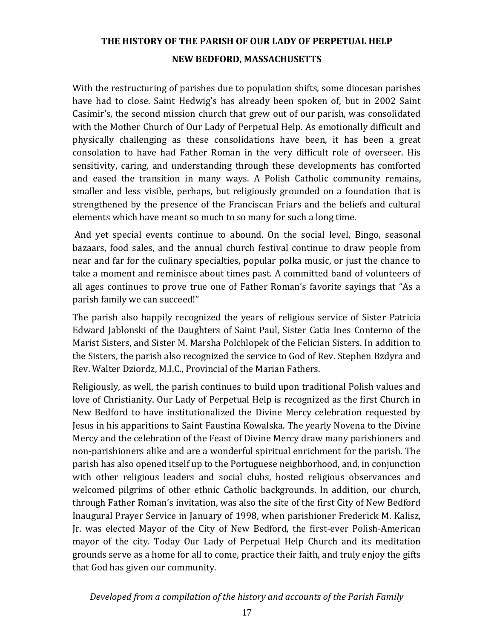With the restructuring of parishes due to population shifts, some diocesan parishes have had to close. Saint Hedwig's has already been spoken of, but in 2002 Saint Casimir's, the second mission church that grew out of our parish, was consolidated with the Mother Church of Our Lady of Perpetual Help. As emotionally difficult and physically challenging as these consolidations have been, it has been a great consolation to have had Father Roman in the very difficult role of overseer. His sensitivity, caring, and understanding through these developments has comforted and eased the transition in many ways. A Polish Catholic community remains, smaller and less visible, perhaps, but religiously grounded on a foundation that is strengthened by the presence of the Franciscan Friars and the beliefs and cultural elements which have meant so much to so many for such a long time.

And yet special events continue to abound. On the social level, Bingo, seasonal bazaars, food sales, and the annual church festival continue to draw people from near and far for the culinary specialties, popular polka music, or just the chance to take a moment and reminisce about times past. A committed band of volunteers of all ages continues to prove true one of Father Roman's favorite sayings that "As a parish family we can succeed!"

The parish also happily recognized the years of religious service of Sister Patricia Edward Jablonski of the Daughters of Saint Paul, Sister Catia Ines Conterno of the Marist Sisters, and Sister M. Marsha Polchlopek of the Felician Sisters. In addition to the Sisters, the parish also recognized the service to God of Rev. Stephen Bzdyra and Rev. Walter Dziordz, M.I.C., Provincial of the Marian Fathers.

Religiously, as well, the parish continues to build upon traditional Polish values and love of Christianity. Our Lady of Perpetual Help is recognized as the first Church in New Bedford to have institutionalized the Divine Mercy celebration requested by Jesus in his apparitions to Saint Faustina Kowalska. The yearly Novena to the Divine Mercy and the celebration of the Feast of Divine Mercy draw many parishioners and non-parishioners alike and are a wonderful spiritual enrichment for the parish. The parish has also opened itself up to the Portuguese neighborhood, and, in conjunction with other religious leaders and social clubs, hosted religious observances and welcomed pilgrims of other ethnic Catholic backgrounds. In addition, our church, through Father Roman's invitation, was also the site of the first City of New Bedford Inaugural Prayer Service in January of 1998, when parishioner Frederick M. Kalisz, Jr. was elected Mayor of the City of New Bedford, the first-ever Polish-American mayor of the city. Today Our Lady of Perpetual Help Church and its meditation grounds serve as a home for all to come, practice their faith, and truly enjoy the gifts that God has given our community.